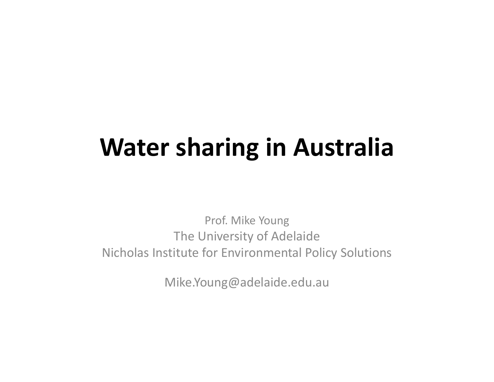### **Water sharing in Australia**

Prof. Mike Young The University of Adelaide Nicholas Institute for Environmental Policy Solutions

Mike.Young@adelaide.edu.au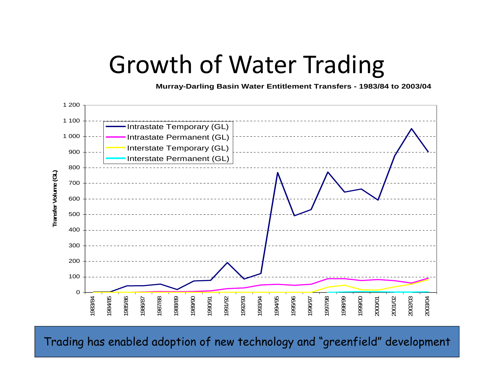#### Growth of Water Trading

**Murray-Darling Basin Water Entitlement Transfers - 1983/84 to 2003/04**



 $\frac{1}{2}$   $\frac{1}{2}$   $\frac{1}{2}$   $\frac{1}{2}$   $\frac{1}{2}$   $\frac{1}{2}$   $\frac{1}{2}$   $\frac{1}{2}$   $\frac{1}{2}$   $\frac{1}{2}$   $\frac{1}{2}$   $\frac{1}{2}$   $\frac{1}{2}$   $\frac{1}{2}$   $\frac{1}{2}$   $\frac{1}{2}$   $\frac{1}{2}$   $\frac{1}{2}$   $\frac{1}{2}$   $\frac{1}{2}$   $\frac{1}{2}$   $\frac{1}{2}$   $\$ Trading has enabled adoption of new technology and "greenfield" development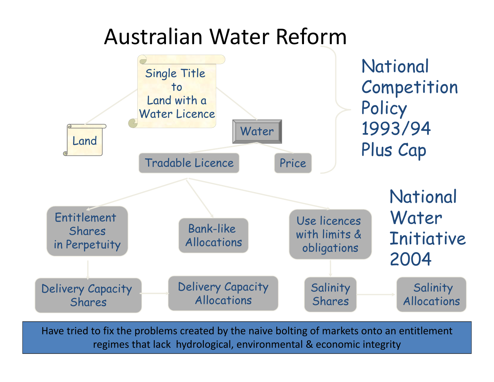#### Australian Water Reform



Have tried to fix the problems created by the naive bolting of markets onto an entitlement regimes that lack hydrological, environmental & economic integrity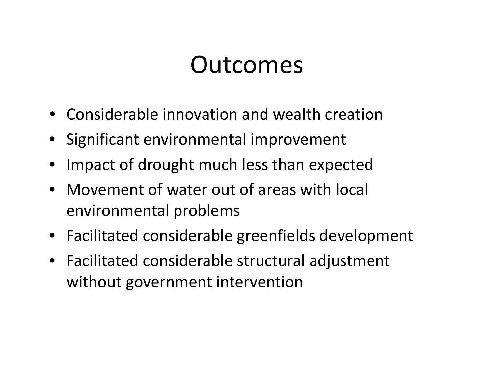#### Outcomes

- Considerable innovation and wealth creation
- Significant environmental improvement
- •Impact of drought much less than expected
- Movement of water out of areas with local environmental problems
- Facilitated considerable greenfields development
- Facilitated considerable structural adjustment without government intervention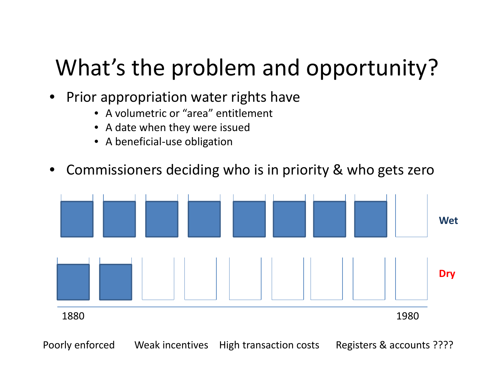# What's the problem and opportunity?

- • Prior appropriation water rights have
	- A volumetric or "area" entitlement
	- A date when they were issued
	- A beneficial‐use obligation
- $\bullet$ Commissioners deciding who is in priority & who gets zero



Poorly enforced Weak incentives High transaction costs Registers & accounts ????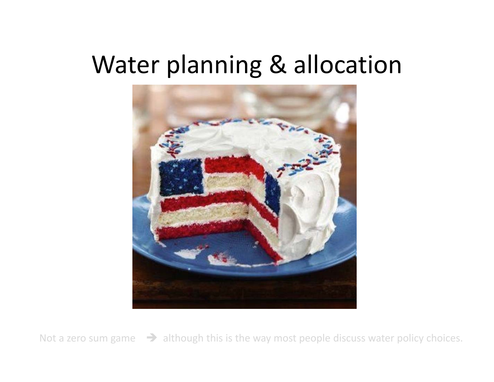#### Water planning & allocation



Not a zero sum $\rightarrow$  although this is the way most people discuss water policy choices.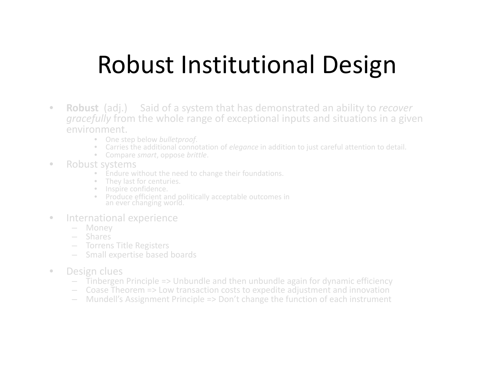# Robust Institutional Design

- $\bullet$  **Robust** (adj.) Said of <sup>a</sup> system that has demonstrated an ability to *recover gracefully* from the whole range of exceptional inputs and situations in <sup>a</sup> given environment.
	- One step below *bulletproof*.
	- Carries the additional connotation of *elegance* in addition to just careful attention to detail.
	- •Compare *smart*, oppose *brittle*.
- $\bullet$  Robust systems
	- Endure without the need to change their foundations.
	- They last for centuries.
	- •Inspire confidence.
	- Produce efficient and politically acceptable outcomes in an ever changing world.
- $\hfill \textcircled{1}$  International experience
	- Money
	- Shares
	- Torrens Title Registers
	- Small expertise based boards
- • Design clues
	- Tinbergen Principle => Unbundle and then unbundle again for dynamic efficiency
	- Coase Theorem => Low transaction costs to expedite adjustment and innovation
	- –Mundell's Assignment Principle => Don't change the function of each instrument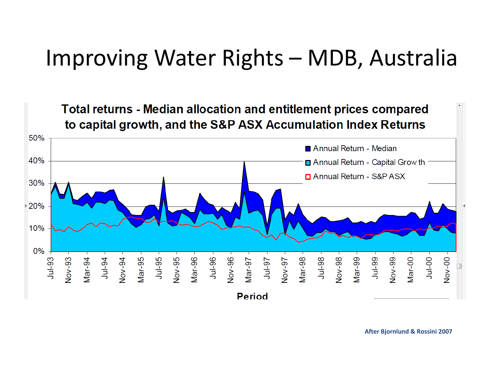#### Improving Water Rights – MDB, Australia



**After Bjornlund & Rossini 2007**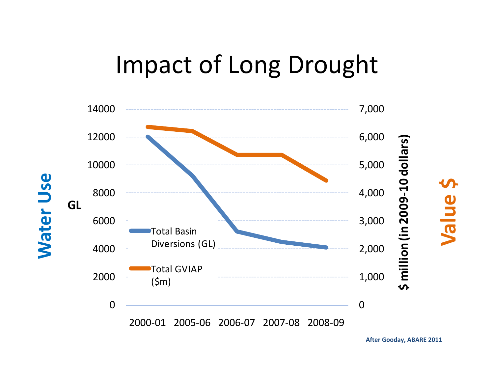## Impact of Long Drought



**After Gooday, ABARE 2011**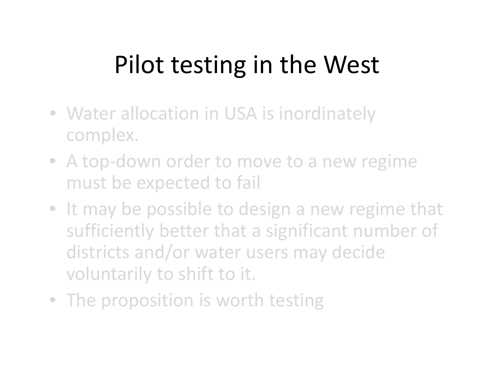# Pilot testing in the West

- Water allocation in USA is inordinately complex.
- A top-down order to move to a new regime must be expected to fail
- It may be possible to design <sup>a</sup> new regime that sufficiently better that <sup>a</sup> significant number of districts and/or water users may decide voluntarily to shift to it.
- The proposition is worth testing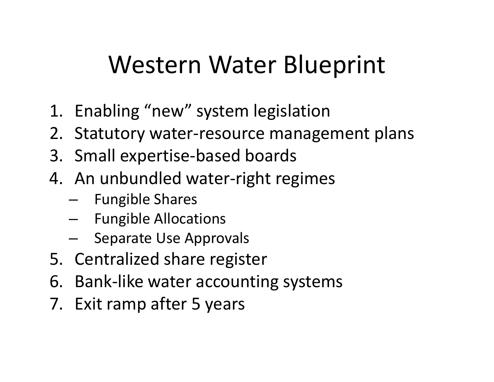# Western Water Blueprint

- 1. Enabling "new" system legislation
- 2. Statutory water‐resource management plans
- 3. Small expertise‐based boards
- 4. An unbundled water‐right regimes
	- –Fungible Shares
	- –- Fungible Allocations
	- –Separate Use Approvals
- 5. Centralized share register
- 6. Bank‐like water accounting systems
- 7. Exit ramp after 5 years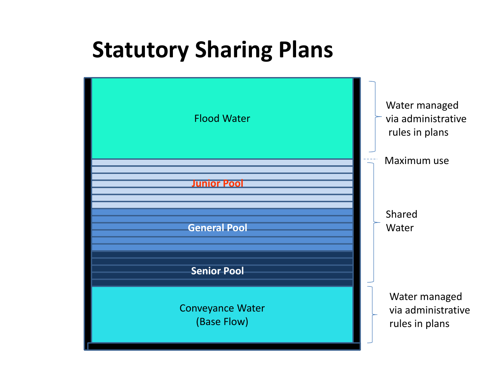#### **Statutory Sharing Plans**

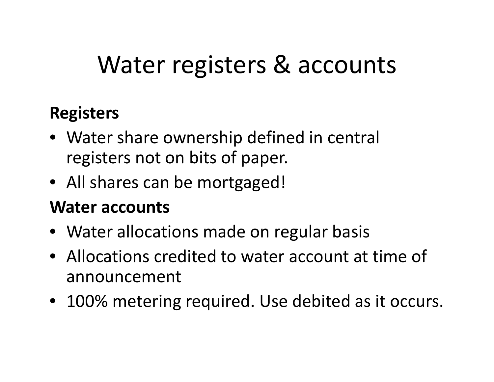# Water registers & accounts

#### **Registers**

- Water share ownership defined in central registers not on bits of paper.
- All shares can be mortgaged!

#### **Water accounts**

- Water allocations made on regular basis
- Allocations credited to water account at time of announcement
- 100% metering required. Use debited as it occurs.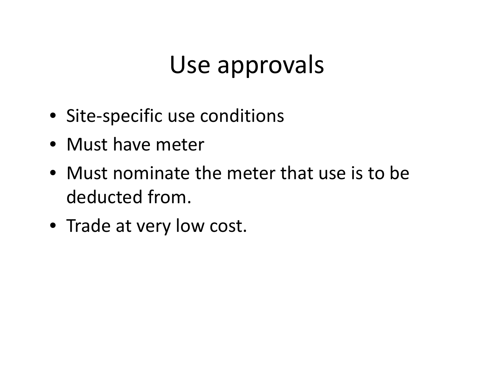# Use approvals

- Site‐specific use conditions
- Must have meter
- Must nominate the meter that use is to be deducted from.
- Trade at very low cost.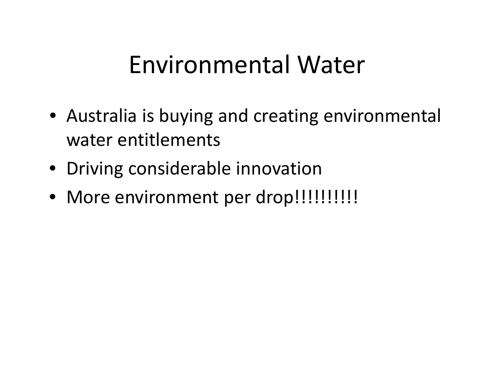### Environmental Water

- Australia is buying and creating environmental water entitlements
- Driving considerable innovation
- More environment per drop!!!!!!!!!!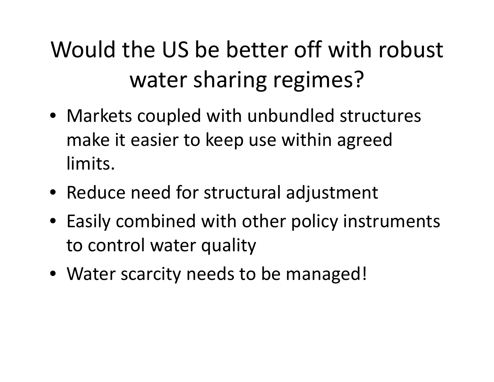# Would the US be better off with robust water sharing regimes?

- Markets coupled with unbundled structures make it easier to keep use within agreed limits.
- Reduce need for structural adjustment
- Easily combined with other policy instruments to control water quality
- Water scarcity needs to be managed!